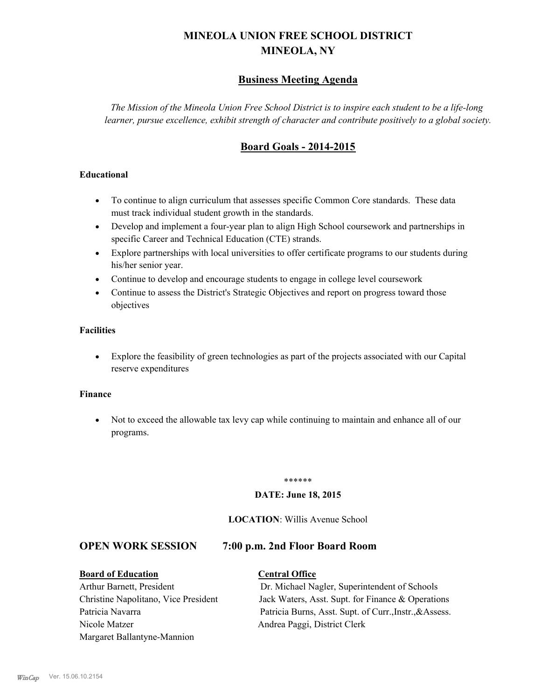# **MINEOLA UNION FREE SCHOOL DISTRICT MINEOLA, NY**

# **Business Meeting Agenda**

*The Mission of the Mineola Union Free School District is to inspire each student to be a life-long learner, pursue excellence, exhibit strength of character and contribute positively to a global society.*

# **Board Goals - 2014-2015**

#### **Educational**

- · To continue to align curriculum that assesses specific Common Core standards. These data must track individual student growth in the standards.
- · Develop and implement a four-year plan to align High School coursework and partnerships in specific Career and Technical Education (CTE) strands.
- · Explore partnerships with local universities to offer certificate programs to our students during his/her senior year.
- · Continue to develop and encourage students to engage in college level coursework
- Continue to assess the District's Strategic Objectives and report on progress toward those objectives

#### **Facilities**

· Explore the feasibility of green technologies as part of the projects associated with our Capital reserve expenditures

#### **Finance**

· Not to exceed the allowable tax levy cap while continuing to maintain and enhance all of our programs.

#### \*\*\*\*\*\*

#### **DATE: June 18, 2015**

#### **LOCATION**: Willis Avenue School

#### **OPEN WORK SESSION 7:00 p.m. 2nd Floor Board Room**

**Board of Education Central Office** Nicole Matzer Andrea Paggi, District Clerk Margaret Ballantyne-Mannion

Arthur Barnett, President Dr. Michael Nagler, Superintendent of Schools Christine Napolitano, Vice President Jack Waters, Asst. Supt. for Finance & Operations Patricia Navarra Patricia Burns, Asst. Supt. of Curr., Instr., & Assess.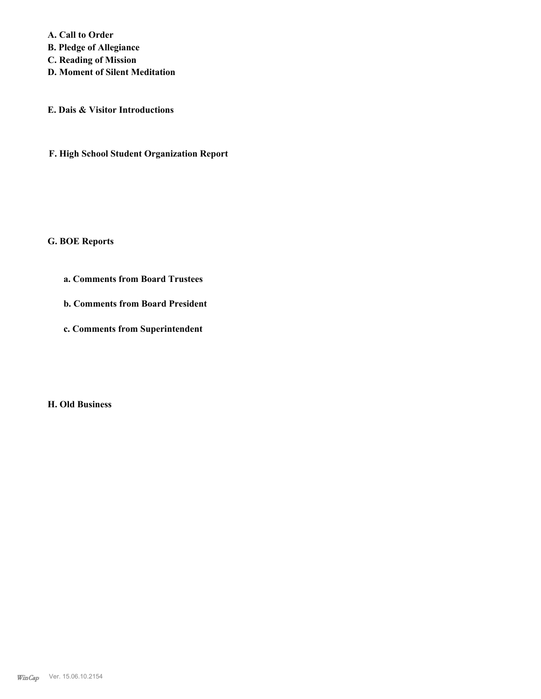**A. Call to Order** 

**B. Pledge of Allegiance**

**C. Reading of Mission**

**D. Moment of Silent Meditation**

**E. Dais & Visitor Introductions**

**F. High School Student Organization Report**

#### **G. BOE Reports**

- **a. Comments from Board Trustees**
- **b. Comments from Board President**
- **c. Comments from Superintendent**

**H. Old Business**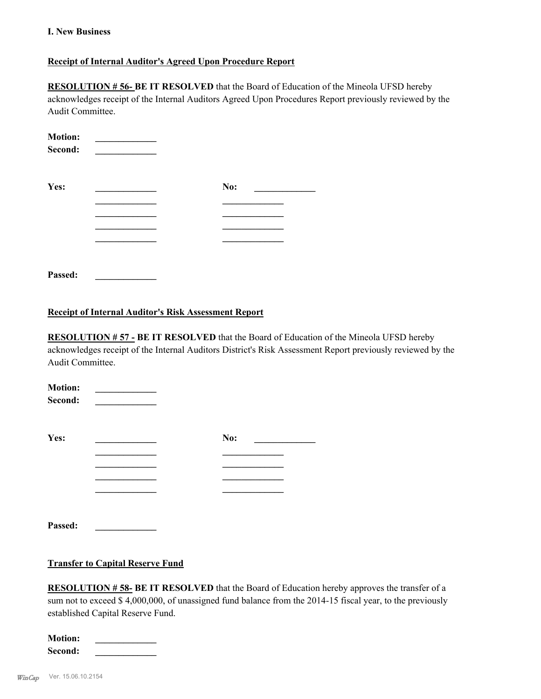#### **I. New Business**

#### **Receipt of Internal Auditor's Agreed Upon Procedure Report**

**RESOLUTION # 56- BE IT RESOLVED** that the Board of Education of the Mineola UFSD hereby acknowledges receipt of the Internal Auditors Agreed Upon Procedures Report previously reviewed by the Audit Committee.

| <b>Motion:</b><br>Second: |     |  |
|---------------------------|-----|--|
| Yes:                      | No: |  |
|                           |     |  |
|                           |     |  |
|                           |     |  |
|                           |     |  |
|                           |     |  |
| Passed:                   |     |  |

#### **Receipt of Internal Auditor's Risk Assessment Report**

**RESOLUTION # 57 - BE IT RESOLVED** that the Board of Education of the Mineola UFSD hereby acknowledges receipt of the Internal Auditors District's Risk Assessment Report previously reviewed by the Audit Committee.

| <b>Motion:</b><br>Second: |     |  |
|---------------------------|-----|--|
| Yes:                      | No: |  |
|                           |     |  |
|                           |     |  |
|                           |     |  |
|                           |     |  |
| Passed:                   |     |  |

#### **Transfer to Capital Reserve Fund**

**RESOLUTION # 58- BE IT RESOLVED** that the Board of Education hereby approves the transfer of a sum not to exceed \$4,000,000, of unassigned fund balance from the 2014-15 fiscal year, to the previously established Capital Reserve Fund.

| <b>Motion:</b> |  |  |  |
|----------------|--|--|--|
| Second:        |  |  |  |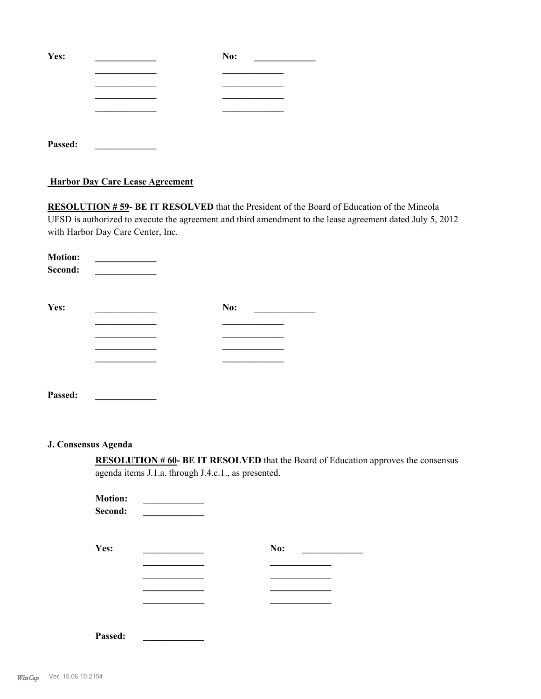| Yes:    | No: |
|---------|-----|
|         |     |
|         |     |
|         |     |
|         |     |
|         |     |
| Passed: |     |

#### **Harbor Day Care Lease Agreement**

**RESOLUTION # 59- BE IT RESOLVED** that the President of the Board of Education of the Mineola UFSD is authorized to execute the agreement and third amendment to the lease agreement dated July 5, 2012 with Harbor Day Care Center, Inc.

| <b>Motion:</b> |     |
|----------------|-----|
| Second:        |     |
|                |     |
|                |     |
| Yes:           | No: |
|                |     |
|                |     |
|                |     |
|                |     |
|                |     |
| Passed:        |     |

## **J. Consensus Agenda**

**RESOLUTION # 60- BE IT RESOLVED** that the Board of Education approves the consensus agenda items J.1.a. through J.4.c.1., as presented.

| <b>Motion:</b><br>Second: |     |  |
|---------------------------|-----|--|
| Yes:                      | No: |  |
|                           |     |  |
|                           |     |  |
|                           |     |  |

| Passed: |  |  |  |  |
|---------|--|--|--|--|
|         |  |  |  |  |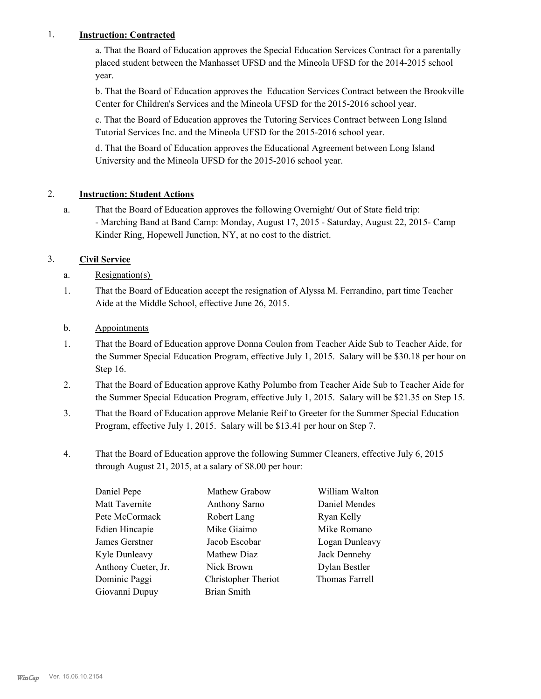## 1. **Instruction: Contracted**

a. That the Board of Education approves the Special Education Services Contract for a parentally placed student between the Manhasset UFSD and the Mineola UFSD for the 2014-2015 school year.

b. That the Board of Education approves the Education Services Contract between the Brookville Center for Children's Services and the Mineola UFSD for the 2015-2016 school year.

c. That the Board of Education approves the Tutoring Services Contract between Long Island Tutorial Services Inc. and the Mineola UFSD for the 2015-2016 school year.

d. That the Board of Education approves the Educational Agreement between Long Island University and the Mineola UFSD for the 2015-2016 school year.

## 2. **Instruction: Student Actions**

That the Board of Education approves the following Overnight/ Out of State field trip: - Marching Band at Band Camp: Monday, August 17, 2015 - Saturday, August 22, 2015- Camp Kinder Ring, Hopewell Junction, NY, at no cost to the district. a.

# 3. **Civil Service**

- a. Resignation(s)
- That the Board of Education accept the resignation of Alyssa M. Ferrandino, part time Teacher Aide at the Middle School, effective June 26, 2015. 1.
- b. Appointments
- That the Board of Education approve Donna Coulon from Teacher Aide Sub to Teacher Aide, for the Summer Special Education Program, effective July 1, 2015. Salary will be \$30.18 per hour on Step 16. 1.
- That the Board of Education approve Kathy Polumbo from Teacher Aide Sub to Teacher Aide for the Summer Special Education Program, effective July 1, 2015. Salary will be \$21.35 on Step 15. 2.
- That the Board of Education approve Melanie Reif to Greeter for the Summer Special Education Program, effective July 1, 2015. Salary will be \$13.41 per hour on Step 7. 3.
- That the Board of Education approve the following Summer Cleaners, effective July 6, 2015 through August 21, 2015, at a salary of \$8.00 per hour: 4.

| Daniel Pepe         | Mathew Grabow       | William Walton |
|---------------------|---------------------|----------------|
| Matt Tavernite      | Anthony Sarno       | Daniel Mendes  |
| Pete McCormack      | Robert Lang         | Ryan Kelly     |
| Edien Hincapie      | Mike Giaimo         | Mike Romano    |
| James Gerstner      | Jacob Escobar       | Logan Dunleavy |
| Kyle Dunleavy       | Mathew Diaz         | Jack Dennehy   |
| Anthony Cueter, Jr. | Nick Brown          | Dylan Bestler  |
| Dominic Paggi       | Christopher Theriot | Thomas Farrell |
| Giovanni Dupuy      | <b>Brian Smith</b>  |                |
|                     |                     |                |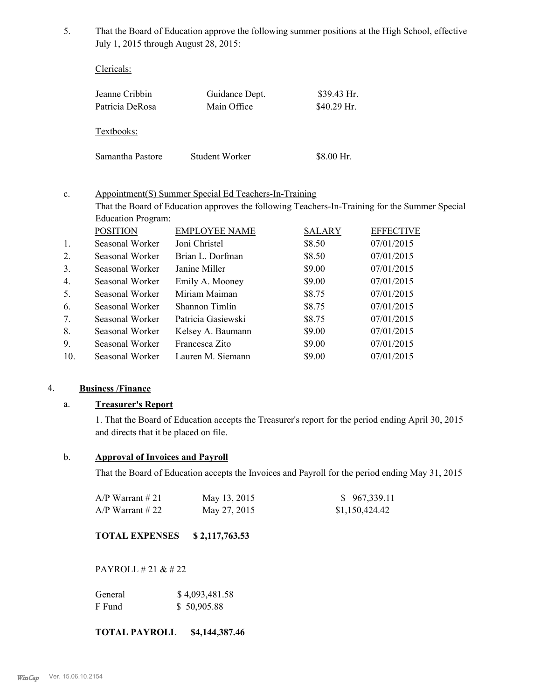That the Board of Education approve the following summer positions at the High School, effective July 1, 2015 through August 28, 2015: 5.

Clericals:

| Jeanne Cribbin<br>Patricia DeRosa | Guidance Dept.<br>Main Office | $$39.43$ Hr.<br>$$40.29$ Hr. |
|-----------------------------------|-------------------------------|------------------------------|
| Textbooks:                        |                               |                              |
| Samantha Pastore                  | Student Worker                | \$8.00 Hr.                   |

#### Appointment(S) Summer Special Ed Teachers-In-Training c.

That the Board of Education approves the following Teachers-In-Training for the Summer Special Education Program:

|                 | <b>POSITION</b> | <b>EMPLOYEE NAME</b> | <b>SALARY</b> | <b>EFFECTIVE</b> |
|-----------------|-----------------|----------------------|---------------|------------------|
| 1.              | Seasonal Worker | Joni Christel        | \$8.50        | 07/01/2015       |
| 2.              | Seasonal Worker | Brian L. Dorfman     | \$8.50        | 07/01/2015       |
| 3.              | Seasonal Worker | Janine Miller        | \$9.00        | 07/01/2015       |
| 4.              | Seasonal Worker | Emily A. Mooney      | \$9.00        | 07/01/2015       |
| 5.              | Seasonal Worker | Miriam Maiman        | \$8.75        | 07/01/2015       |
| 6.              | Seasonal Worker | Shannon Timlin       | \$8.75        | 07/01/2015       |
| 7.              | Seasonal Worker | Patricia Gasiewski   | \$8.75        | 07/01/2015       |
| 8.              | Seasonal Worker | Kelsey A. Baumann    | \$9.00        | 07/01/2015       |
| 9.              | Seasonal Worker | Francesca Zito       | \$9.00        | 07/01/2015       |
| 10 <sub>l</sub> | Seasonal Worker | Lauren M. Siemann    | \$9.00        | 07/01/2015       |

#### 4. **Business /Finance**

## a. **Treasurer's Report**

1. That the Board of Education accepts the Treasurer's report for the period ending April 30, 2015 and directs that it be placed on file.

#### b. **Approval of Invoices and Payroll**

That the Board of Education accepts the Invoices and Payroll for the period ending May 31, 2015

| A/P Warrant # 21 | May 13, 2015 | \$967,339.11   |
|------------------|--------------|----------------|
| A/P Warrant # 22 | May 27, 2015 | \$1,150,424.42 |

#### **TOTAL EXPENSES \$ 2,117,763.53**

PAYROLL # 21 & # 22

| General | \$4,093,481.58 |
|---------|----------------|
| F Fund  | \$50,905.88    |

**TOTAL PAYROLL \$4,144,387.46**